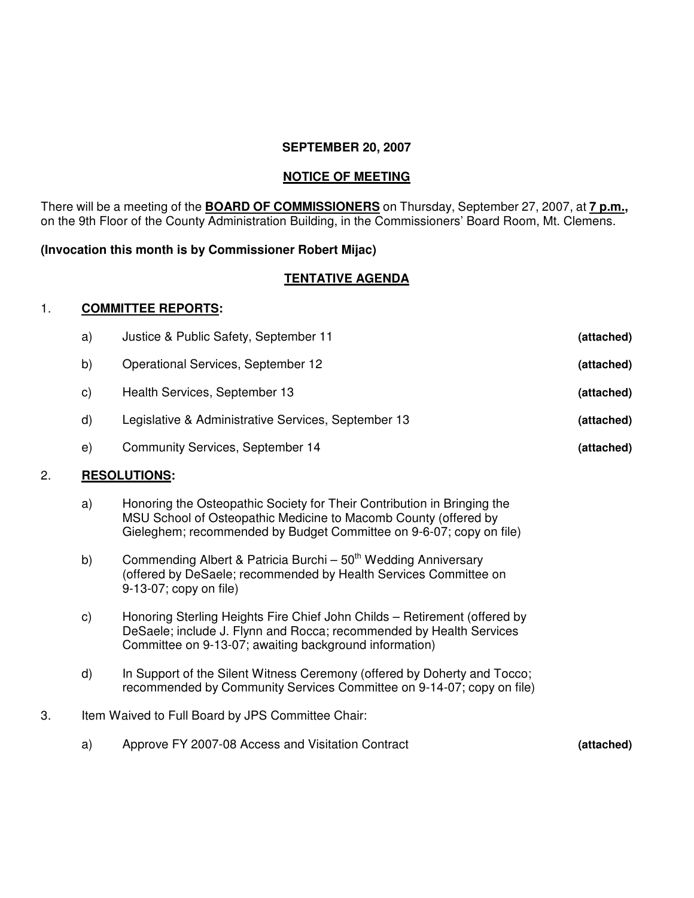### **SEPTEMBER 20, 2007**

# **NOTICE OF MEETING**

There will be a meeting of the **BOARD OF COMMISSIONERS** on Thursday, September 27, 2007, at **7 p.m.,** on the 9th Floor of the County Administration Building, in the Commissioners' Board Room, Mt. Clemens.

# **(Invocation this month is by Commissioner Robert Mijac)**

# **TENTATIVE AGENDA**

### 1. **COMMITTEE REPORTS:**

| a) | Justice & Public Safety, September 11               | (attached) |
|----|-----------------------------------------------------|------------|
| b) | Operational Services, September 12                  | (attached) |
| C) | Health Services, September 13                       | (attached) |
| d) | Legislative & Administrative Services, September 13 | (attached) |
| e) | <b>Community Services, September 14</b>             | (attached) |

# 2. **RESOLUTIONS:**

- a) Honoring the Osteopathic Society for Their Contribution in Bringing the MSU School of Osteopathic Medicine to Macomb County (offered by Gieleghem; recommended by Budget Committee on 9-6-07; copy on file)
- b) Commending Albert & Patricia Burchi 50<sup>th</sup> Wedding Anniversary (offered by DeSaele; recommended by Health Services Committee on 9-13-07; copy on file)
- c) Honoring Sterling Heights Fire Chief John Childs Retirement (offered by DeSaele; include J. Flynn and Rocca; recommended by Health Services Committee on 9-13-07; awaiting background information)
- d) In Support of the Silent Witness Ceremony (offered by Doherty and Tocco; recommended by Community Services Committee on 9-14-07; copy on file)
- 3. Item Waived to Full Board by JPS Committee Chair:
	- a) Approve FY 2007-08 Access and Visitation Contract **(attached)**